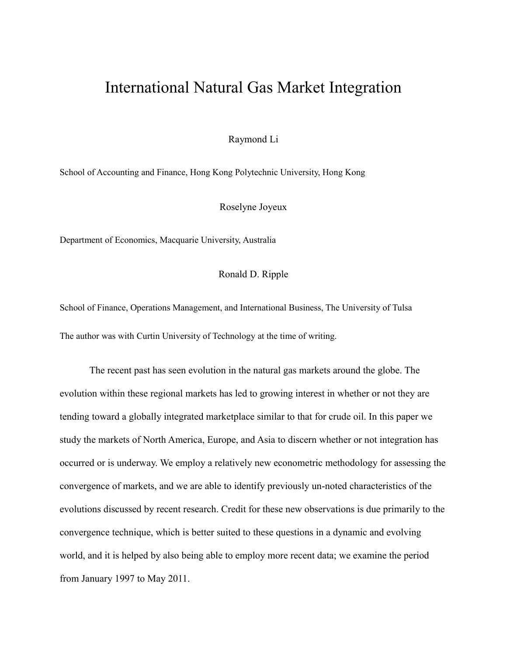## International Natural Gas Market Integration

Raymond Li

School of Accounting and Finance, Hong Kong Polytechnic University, Hong Kong

Roselyne Joyeux

Department of Economics, Macquarie University, Australia

## Ronald D. Ripple

School of Finance, Operations Management, and International Business, The University of Tulsa The author was with Curtin University of Technology at the time of writing.

The recent past has seen evolution in the natural gas markets around the globe. The evolution within these regional markets has led to growing interest in whether or not they are tending toward a globally integrated marketplace similar to that for crude oil. In this paper we study the markets of North America, Europe, and Asia to discern whether or not integration has occurred or is underway. We employ a relatively new econometric methodology for assessing the convergence of markets, and we are able to identify previously un-noted characteristics of the evolutions discussed by recent research. Credit for these new observations is due primarily to the convergence technique, which is better suited to these questions in a dynamic and evolving world, and it is helped by also being able to employ more recent data; we examine the period from January 1997 to May 2011.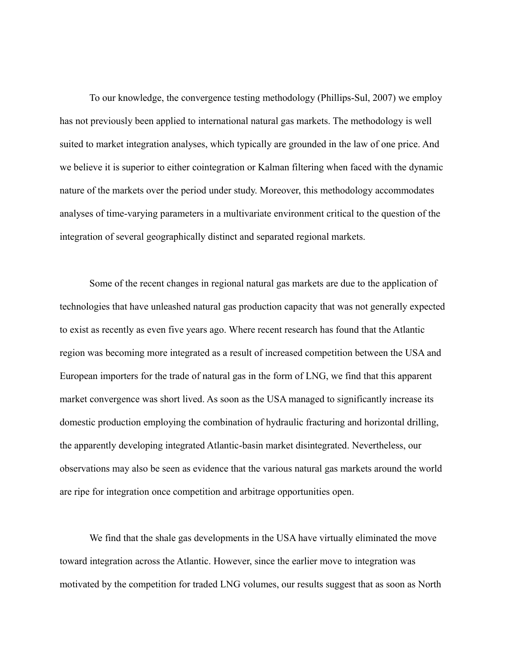To our knowledge, the convergence testing methodology (Phillips-Sul, 2007) we employ has not previously been applied to international natural gas markets. The methodology is well suited to market integration analyses, which typically are grounded in the law of one price. And we believe it is superior to either cointegration or Kalman filtering when faced with the dynamic nature of the markets over the period under study. Moreover, this methodology accommodates analyses of time-varying parameters in a multivariate environment critical to the question of the integration of several geographically distinct and separated regional markets.

Some of the recent changes in regional natural gas markets are due to the application of technologies that have unleashed natural gas production capacity that was not generally expected to exist as recently as even five years ago. Where recent research has found that the Atlantic region was becoming more integrated as a result of increased competition between the USA and European importers for the trade of natural gas in the form of LNG, we find that this apparent market convergence was short lived. As soon as the USA managed to significantly increase its domestic production employing the combination of hydraulic fracturing and horizontal drilling, the apparently developing integrated Atlantic-basin market disintegrated. Nevertheless, our observations may also be seen as evidence that the various natural gas markets around the world are ripe for integration once competition and arbitrage opportunities open.

We find that the shale gas developments in the USA have virtually eliminated the move toward integration across the Atlantic. However, since the earlier move to integration was motivated by the competition for traded LNG volumes, our results suggest that as soon as North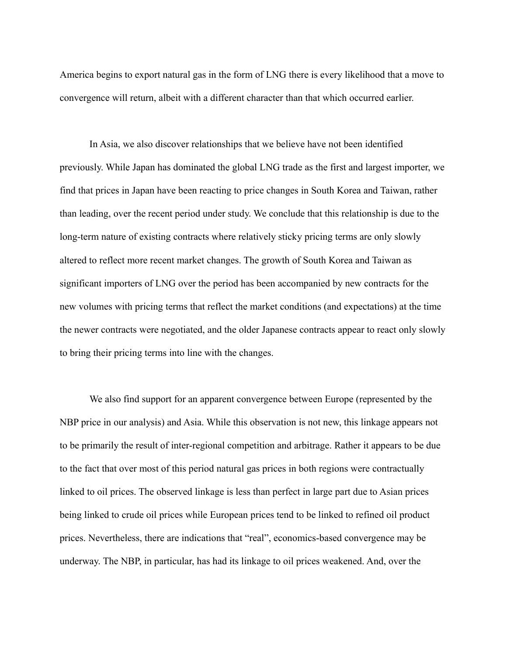America begins to export natural gas in the form of LNG there is every likelihood that a move to convergence will return, albeit with a different character than that which occurred earlier.

In Asia, we also discover relationships that we believe have not been identified previously. While Japan has dominated the global LNG trade as the first and largest importer, we find that prices in Japan have been reacting to price changes in South Korea and Taiwan, rather than leading, over the recent period under study. We conclude that this relationship is due to the long-term nature of existing contracts where relatively sticky pricing terms are only slowly altered to reflect more recent market changes. The growth of South Korea and Taiwan as significant importers of LNG over the period has been accompanied by new contracts for the new volumes with pricing terms that reflect the market conditions (and expectations) at the time the newer contracts were negotiated, and the older Japanese contracts appear to react only slowly to bring their pricing terms into line with the changes.

We also find support for an apparent convergence between Europe (represented by the NBP price in our analysis) and Asia. While this observation is not new, this linkage appears not to be primarily the result of inter-regional competition and arbitrage. Rather it appears to be due to the fact that over most of this period natural gas prices in both regions were contractually linked to oil prices. The observed linkage is less than perfect in large part due to Asian prices being linked to crude oil prices while European prices tend to be linked to refined oil product prices. Nevertheless, there are indications that "real", economics-based convergence may be underway. The NBP, in particular, has had its linkage to oil prices weakened. And, over the